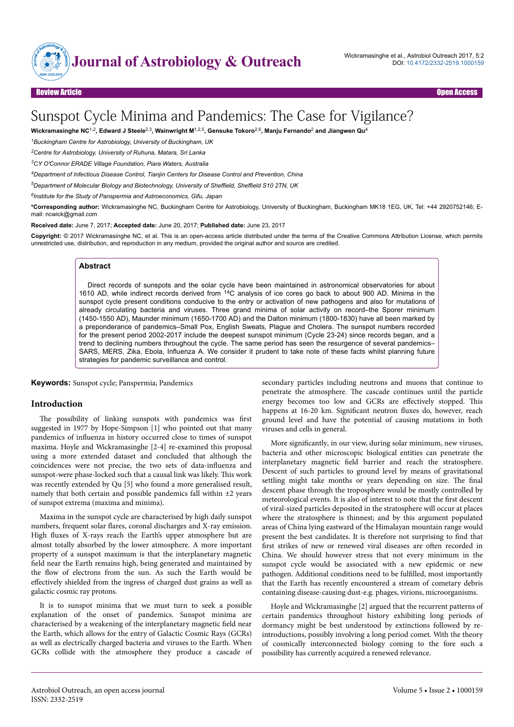

# Sunspot Cycle Minima and Pandemics: The Case for Vigilance?

**Wickramasinghe NC**1,2**, Edward J Steele**2,3**, Wainwright M**1,2,5**, Gensuke Tokoro**2,6**, Manju Fernando**<sup>2</sup>  **and Jiangwen Qu**<sup>4</sup>

*<sup>1</sup>Buckingham Centre for Astrobiology, University of Buckingham, UK*

*<sup>2</sup>Centre for Astrobiology, University of Ruhuna, Matara, Sri Lanka*

*<sup>3</sup>CY O'Connor ERADE Village Foundation, Piara Waters, Australia*

*<sup>4</sup>Department of Infectious Disease Control, Tianjin Centers for Disease Control and Prevention, China*

*<sup>5</sup>Department of Molecular Biology and Biotechnology, University of Sheffield, Sheffield S10 2TN, UK*

*6 Institute for the Study of Panspermia and Astroeconomics, Gifu, Japan*

**\*Corresponding author:** Wickramasinghe NC, Buckingham Centre for Astrobiology, University of Buckingham, Buckingham MK18 1EG, UK, Tel: +44 2920752146; Email: ncwick@gmail.com

**Received date:** June 7, 2017; **Accepted date:** June 20, 2017; **Published date:** June 23, 2017

**Copyright:** © 2017 Wickramasinghe NC, et al. This is an open-access article distributed under the terms of the Creative Commons Attribution License, which permits unrestricted use, distribution, and reproduction in any medium, provided the original author and source are credited.

#### **Abstract**

Direct records of sunspots and the solar cycle have been maintained in astronomical observatories for about 1610 AD, while indirect records derived from <sup>14</sup>C analysis of ice cores go back to about 900 AD. Minima in the sunspot cycle present conditions conducive to the entry or activation of new pathogens and also for mutations of already circulating bacteria and viruses. Three grand minima of solar activity on record–the Sporer minimum (1450-1550 AD), Maunder minimum (1650-1700 AD) and the Dalton minimum (1800-1830) have all been marked by a preponderance of pandemics–Small Pox, English Sweats, Plague and Cholera. The sunspot numbers recorded for the present period 2002-2017 include the deepest sunspot minimum (Cycle 23-24) since records began, and a trend to declining numbers throughout the cycle. The same period has seen the resurgence of several pandemics– SARS, MERS, Zika, Ebola, Influenza A. We consider it prudent to take note of these facts whilst planning future strategies for pandemic surveillance and control.

**Keywords:** Sunspot cycle; Panspermia; Pandemics

#### **Introduction**

The possibility of linking sunspots with pandemics was first suggested in 1977 by Hope-Simpson [1] who pointed out that many pandemics of influenza in history occurred close to times of sunspot maxima. Hoyle and Wickramasinghe [2-4] re-examined this proposal using a more extended dataset and concluded that although the coincidences were not precise, the two sets of data-influenza and sunspot-were phase-locked such that a causal link was likely. Нis work was recently extended by Qu [5] who found a more generalised result, namely that both certain and possible pandemics fall within ±2 years of sunspot extrema (maxima and minima).

Maxima in the sunspot cycle are characterised by high daily sunspot numbers, frequent solar flares, coronal discharges and X-ray emission. High fluxes of X-rays reach the Earth's upper atmosphere but are almost totally absorbed by the lower atmosphere. A more important property of a sunspot maximum is that the interplanetary magnetic field near the Earth remains high, being generated and maintained by the flow of electrons from the sun. As such the Earth would be effectively shielded from the ingress of charged dust grains as well as galactic cosmic ray protons.

It is to sunspot minima that we must turn to seek a possible explanation of the onset of pandemics. Sunspot minima are characterised by a weakening of the interplanetary magnetic field near the Earth, which allows for the entry of Galactic Cosmic Rays (GCRs) as well as electrically charged bacteria and viruses to the Earth. When GCRs collide with the atmosphere they produce a cascade of

secondary particles including neutrons and muons that continue to penetrate the atmosphere. Нe cascade continues until the particle energy becomes too low and GCRs are effectively stopped. This happens at 16-20 km. Significant neutron fluxes do, however, reach ground level and have the potential of causing mutations in both viruses and cells in general.

More significantly, in our view, during solar minimum, new viruses, bacteria and other microscopic biological entities can penetrate the interplanetary magnetic field barrier and reach the stratosphere. Descent of such particles to ground level by means of gravitational settling might take months or years depending on size. The final descent phase through the troposphere would be mostly controlled by meteorological events. It is also of interest to note that the first descent of viral-sized particles deposited in the stratosphere will occur at places where the stratosphere is thinnest; and by this argument populated areas of China lying eastward of the Himalayan mountain range would present the best candidates. It is therefore not surprising to find that first strikes of new or renewed viral diseases are often recorded in China. We should however stress that not every minimum in the sunspot cycle would be associated with a new epidemic or new pathogen. Additional conditions need to be fulfilled, most importantly that the Earth has recently encountered a stream of cometary debris containing disease-causing dust-e.g. phages, virions, microorganisms.

Hoyle and Wickramasinghe [2] argued that the recurrent patterns of certain pandemics throughout history exhibiting long periods of dormancy might be best understood by extinctions followed by reintroductions, possibly involving a long period comet. With the theory of cosmically interconnected biology coming to the fore such a possibility has currently acquired a renewed relevance.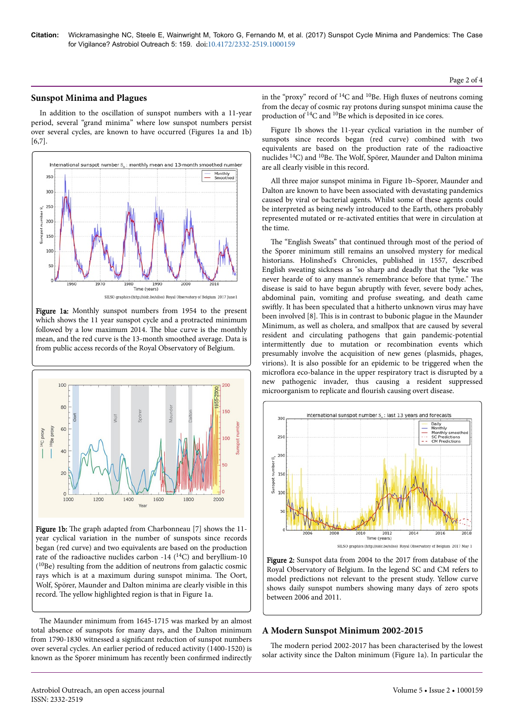## **Sunspot Minima and Plagues**

In addition to the oscillation of sunspot numbers with a 11-year period, several "grand minima" where low sunspot numbers persist over several cycles, are known to have occurred (Figures 1a and 1b) [6,7].



Figure 1a: Monthly sunspot numbers from 1954 to the present which shows the 11 year sunspot cycle and a protracted minimum followed by a low maximum 2014. Нe blue curve is the monthly mean, and the red curve is the 13-month smoothed average. Data is from public access records of the Royal Observatory of Belgium.



Figure 1b: The graph adapted from Charbonneau [7] shows the 11year cyclical variation in the number of sunspots since records began (red curve) and two equivalents are based on the production rate of the radioactive nuclides carbon -14  $(^{14}C)$  and beryllium-10 ( <sup>10</sup>Be) resulting from the addition of neutrons from galactic cosmic rays which is at a maximum during sunspot minima. Нe Oort, Wolf, Spörer, Maunder and Dalton minima are clearly visible in this record. The yellow highlighted region is that in Figure 1a.

The Maunder minimum from 1645-1715 was marked by an almost total absence of sunspots for many days, and the Dalton minimum from 1790-1830 witnessed a significant reduction of sunspot numbers over several cycles. An earlier period of reduced activity (1400-1520) is known as the Sporer minimum has recently been confirmed indirectly

in the "proxy" record of  ${}^{14}C$  and  ${}^{10}Be$ . High fluxes of neutrons coming from the decay of cosmic ray protons during sunspot minima cause the production of  $^{14}$ C and  $^{10}$ Be which is deposited in ice cores.

Figure 1b shows the 11-year cyclical variation in the number of sunspots since records began (red curve) combined with two equivalents are based on the production rate of the radioactive nuclides 14C) and 10Be. Нe Wolf, Spörer, Maunder and Dalton minima are all clearly visible in this record.

All three major sunspot minima in Figure 1b–Sporer, Maunder and Dalton are known to have been associated with devastating pandemics caused by viral or bacterial agents. Whilst some of these agents could be interpreted as being newly introduced to the Earth, others probably represented mutated or re-activated entities that were in circulation at the time.

The "English Sweats" that continued through most of the period of the Sporer minimum still remains an unsolved mystery for medical historians. Holinshed's Chronicles, published in 1557, described English sweating sickness as "so sharp and deadly that the "lyke was never hearde of to any manne's remembrance before that tyme." Нe disease is said to have begun abruptly with fever, severe body aches, abdominal pain, vomiting and profuse sweating, and death came swiftly. It has been speculated that a hitherto unknown virus may have been involved [8]. Нis is in contrast to bubonic plague in the Maunder Minimum, as well as cholera, and smallpox that are caused by several resident and circulating pathogens that gain pandemic-potential intermittently due to mutation or recombination events which presumably involve the acquisition of new genes (plasmids, phages, virions). It is also possible for an epidemic to be triggered when the microflora eco-balance in the upper respiratory tract is disrupted by a new pathogenic invader, thus causing a resident suppressed microorganism to replicate and flourish causing overt disease.



Figure 2: Sunspot data from 2004 to the 2017 from database of the Royal Observatory of Belgium. In the legend SC and CM refers to model predictions not relevant to the present study. Yellow curve shows daily sunspot numbers showing many days of zero spots between 2006 and 2011.

## **A Modern Sunspot Minimum 2002-2015**

The modern period 2002-2017 has been characterised by the lowest solar activity since the Dalton minimum (Figure 1a). In particular the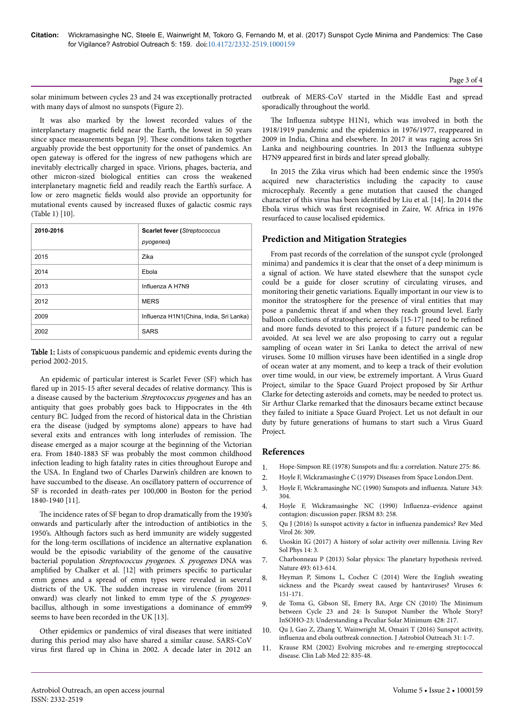solar minimum between cycles 23 and 24 was exceptionally protracted with many days of almost no sunspots (Figure 2).

It was also marked by the lowest recorded values of the interplanetary magnetic field near the Earth, the lowest in 50 years since space measurements began [9]. These conditions taken together arguably provide the best opportunity for the onset of pandemics. An open gateway is offered for the ingress of new pathogens which are inevitably electrically charged in space. Virions, phages, bacteria, and other micron-sized biological entities can cross the weakened interplanetary magnetic field and readily reach the Earth's surface. A low or zero magnetic fields would also provide an opportunity for mutational events caused by increased fluxes of galactic cosmic rays (Table 1) [10].

| 2010-2016 | <b>Scarlet fever (Streptococcus</b><br>pyogenes) |
|-----------|--------------------------------------------------|
| 2015      | Zika                                             |
| 2014      | Ebola                                            |
| 2013      | Influenza A H7N9                                 |
| 2012      | <b>MERS</b>                                      |
| 2009      | Influenza H1N1(China, India, Sri Lanka)          |
| 2002      | <b>SARS</b>                                      |

Table 1: Lists of conspicuous pandemic and epidemic events during the period 2002-2015.

An epidemic of particular interest is Scarlet Fever (SF) which has flared up in 2015-15 after several decades of relative dormancy. This is a disease caused by the bacterium Streptococcus pyogenes and has an antiquity that goes probably goes back to Hippocrates in the 4th century BC. Judged from the record of historical data in the Christian era the disease (judged by symptoms alone) appears to have had several exits and entrances with long interludes of remission. Нe disease emerged as a major scourge at the beginning of the Victorian era. From 1840-1883 SF was probably the most common childhood infection leading to high fatality rates in cities throughout Europe and the USA. In England two of Charles Darwin's children are known to have succumbed to the disease. An oscillatory pattern of occurrence of SF is recorded in death-rates per 100,000 in Boston for the period 1840-1940 [11].

The incidence rates of SF began to drop dramatically from the 1930's onwards and particularly after the introduction of antibiotics in the 1950's. Although factors such as herd immunity are widely suggested for the long-term oscillations of incidence an alternative explanation would be the episodic variability of the genome of the causative bacterial population Streptococcus pyogenes. S. pyogenes DNA was amplified by Chalker et al. [12] with primers specific to particular emm genes and a spread of emm types were revealed in several districts of the UK. Нe sudden increase in virulence (from 2011 onward) was clearly not linked to emm type of the S. pyogenesbacillus, although in some investigations a dominance of emm99 seems to have been recorded in the UK [13].

Other epidemics or pandemics of viral diseases that were initiated during this period may also have shared a similar cause. SARS-CoV virus first flared up in China in 2002. A decade later in 2012 an

outbreak of MERS-CoV started in the Middle East and spread sporadically throughout the world.

The Influenza subtype H1N1, which was involved in both the 1918/1919 pandemic and the epidemics in 1976/1977, reappeared in 2009 in India, China and elsewhere. In 2017 it was raging across Sri Lanka and neighbouring countries. In 2013 the Influenza subtype H7N9 appeared first in birds and later spread globally.

In 2015 the Zika virus which had been endemic since the 1950's acquired new characteristics including the capacity to cause microcephaly. Recently a gene mutation that caused the changed character of this virus has been identified by Liu et al. [14]. In 2014 the Ebola virus which was first recognised in Zaire, W. Africa in 1976 resurfaced to cause localised epidemics.

# **Prediction and Mitigation Strategies**

From past records of the correlation of the sunspot cycle (prolonged minima) and pandemics it is clear that the onset of a deep minimum is a signal of action. We have stated elsewhere that the sunspot cycle could be a guide for closer scrutiny of circulating viruses, and monitoring their genetic variations. Equally important in our view is to monitor the stratosphere for the presence of viral entities that may pose a pandemic threat if and when they reach ground level. Early balloon collections of stratospheric aerosols [15-17] need to be refined and more funds devoted to this project if a future pandemic can be avoided. At sea level we are also proposing to carry out a regular sampling of ocean water in Sri Lanka to detect the arrival of new viruses. Some 10 million viruses have been identified in a single drop of ocean water at any moment, and to keep a track of their evolution over time would, in our view, be extremely important. A Virus Guard Project, similar to the Space Guard Project proposed by Sir Arthur Clarke for detecting asteroids and comets, may be needed to protect us. Sir Arthur Clarke remarked that the dinosaurs became extinct because they failed to initiate a Space Guard Project. Let us not default in our duty by future generations of humans to start such a Virus Guard Project.

### **References**

- 1. [Hope-Simpson RE \(1978\) Sunspots and](http://adsabs.harvard.edu/abs/1978Natur.275...86H) flu: a correlation. Nature 275: 86.
- 2. [Hoyle F, Wickramasinghe C \(1979\) Diseases from Space London.Dent.](https://doi.org/10.1007/bf00648361)
- 3. [Hoyle F, Wickramasinghe NC \(1990\) Sunspots and](https://doi.org/10.1038/343304a0) influenza. Nature 343: [304.](https://doi.org/10.1038/343304a0)
- 4. [Hoyle F, Wickramasinghe NC \(1990\)](https://doi.org/10.1142/9789814675260_0037) Influenza-evidence against [contagion: discussion paper. JRSM 83: 258.](https://doi.org/10.1142/9789814675260_0037)
- 5. [Qu J \(2016\) Is sunspot activity a factor in](http://dx.doi.org/10.1002%2Frmv.1887) influenza pandemics? Rev Med [Virol 26: 309.](http://dx.doi.org/10.1002%2Frmv.1887)
- 6. [Usoskin IG \(2017\) A history of solar activity over millennia. Living Rev](https://doi.org/10.1007/s41116-017-0006-9) [Sol Phys 14: 3.](https://doi.org/10.1007/s41116-017-0006-9)
- 7. [Charbonneau P \(2013\) Solar physics:](http://dx.doi.org/doi:10.1038/493613a) Нe planetary hypothesis revived. [Nature 493: 613-614.](http://dx.doi.org/doi:10.1038/493613a)
- 8. [Heyman P, Simons L, Cochez C \(2014\) Were the English sweating](http://dx.doi.org/doi:10.3390/v6010151) [sickness and the Picardy sweat caused by hantaviruses? Viruses 6:](http://dx.doi.org/doi:10.3390/v6010151) [151-171.](http://dx.doi.org/doi:10.3390/v6010151)
- 9. [de Toma G, Gibson SE, Emery BA, Arge CN \(2010\)](http://dx.doi.org/10.1063/1.3395955) Нe Minimum [between Cycle 23 and 24: Is Sunspot Number the Whole Story?](http://dx.doi.org/10.1063/1.3395955) [InSOHO-23: Understanding a Peculiar Solar Minimum 428: 217.](http://dx.doi.org/10.1063/1.3395955)
- 10. [Qu J, Gao Z, Zhang Y, Wainwright M, Omairi T \(2016\) Sunspot activity,](https://doi.org/10.4172/2332-2519.1000154) influenza [and ebola outbreak connection. J Astrobiol Outreach 31: 1-7.](https://doi.org/10.4172/2332-2519.1000154)
- 11. [Krause RM \(2002\) Evolving microbes and re-emerging streptococcal](https://doi.org/10.1016/s0272-2712(02)00027-6) [disease. Clin Lab Med 22: 835-48.](https://doi.org/10.1016/s0272-2712(02)00027-6)